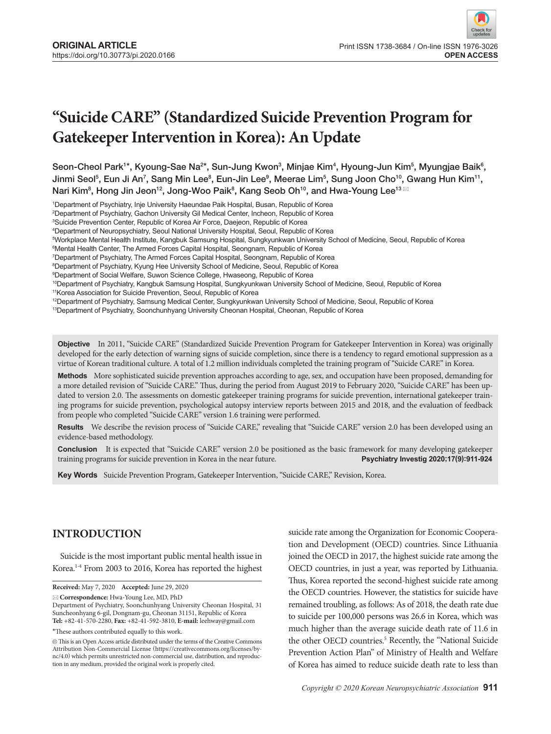# **"Suicide CARE" (Standardized Suicide Prevention Program for Gatekeeper Intervention in Korea): An Update**

Seon-Cheol Park<sup>1\*</sup>, Kyoung-Sae Na<sup>2\*</sup>, Sun-Jung Kwon $^3$ , Minjae Kim $^4$ , Hyoung-Jun Kim $^5$ , Myungjae Baik $^6$ , Jinmi Seol<sup>5</sup>, Eun Ji An<sup>7</sup>, Sang Min Lee<sup>8</sup>, Eun-Jin Lee<sup>9</sup>, Meerae Lim<sup>5</sup>, Sung Joon Cho<sup>10</sup>, Gwang Hun Kim<sup>11</sup>, Nari Kim $^8$ , Hong Jin Jeon $^{12}$ , Jong-Woo Paik $^8$ , Kang Seob Oh $^{10}$ , and Hwa-Young Lee $^{13}$   $^{\boxtimes}$ 

1 Department of Psychiatry, Inje University Haeundae Paik Hospital, Busan, Republic of Korea

2 Department of Psychiatry, Gachon University Gil Medical Center, Incheon, Republic of Korea

4 Department of Neuropsychiatry, Seoul National University Hospital, Seoul, Republic of Korea

5 Workplace Mental Health Institute, Kangbuk Samsung Hospital, Sungkyunkwan University School of Medicine, Seoul, Republic of Korea

6 Mental Health Center, The Armed Forces Capital Hospital, Seongnam, Republic of Korea

7 Department of Psychiatry, The Armed Forces Capital Hospital, Seongnam, Republic of Korea

8 Department of Psychiatry, Kyung Hee University School of Medicine, Seoul, Republic of Korea

9 Department of Social Welfare, Suwon Science College, Hwaseong, Republic of Korea

10Department of Psychiatry, Kangbuk Samsung Hospital, Sungkyunkwan University School of Medicine, Seoul, Republic of Korea

<sup>11</sup>Korea Association for Suicide Prevention, Seoul, Republic of Korea

<sup>12</sup>Department of Psychiatry, Samsung Medical Center, Sungkyunkwan University School of Medicine, Seoul, Republic of Korea

<sup>13</sup>Department of Psychiatry, Soonchunhyang University Cheonan Hospital, Cheonan, Republic of Korea

**Objective** In 2011, "Suicide CARE" (Standardized Suicide Prevention Program for Gatekeeper Intervention in Korea) was originally developed for the early detection of warning signs of suicide completion, since there is a tendency to regard emotional suppression as a virtue of Korean traditional culture. A total of 1.2 million individuals completed the training program of "Suicide CARE" in Korea.

**Methods** More sophisticated suicide prevention approaches according to age, sex, and occupation have been proposed, demanding for a more detailed revision of "Suicide CARE." Thus, during the period from August 2019 to February 2020, "Suicide CARE" has been updated to version 2.0. The assessments on domestic gatekeeper training programs for suicide prevention, international gatekeeper training programs for suicide prevention, psychological autopsy interview reports between 2015 and 2018, and the evaluation of feedback from people who completed "Suicide CARE" version 1.6 training were performed.

**Results** We describe the revision process of "Suicide CARE," revealing that "Suicide CARE" version 2.0 has been developed using an evidence-based methodology.

**Conclusion** It is expected that "Suicide CARE" version 2.0 be positioned as the basic framework for many developing gatekeeper training programs for suicide prevention in Korea in the near future. **Psychiatry Investig 2020;17(9):911-924**

**Key Words** Suicide Prevention Program, Gatekeeper Intervention, "Suicide CARE," Revision, Korea.

# **INTRODUCTION**

Suicide is the most important public mental health issue in Korea.1-4 From 2003 to 2016, Korea has reported the highest

**Received:** May 7, 2020 **Accepted:** June 29, 2020

**Correspondence:** Hwa-Young Lee, MD, PhD

\*These authors contributed equally to this work.

suicide rate among the Organization for Economic Cooperation and Development (OECD) countries. Since Lithuania joined the OECD in 2017, the highest suicide rate among the OECD countries, in just a year, was reported by Lithuania. Thus, Korea reported the second-highest suicide rate among the OECD countries. However, the statistics for suicide have remained troubling, as follows: As of 2018, the death rate due to suicide per 100,000 persons was 26.6 in Korea, which was much higher than the average suicide death rate of 11.6 in the other OECD countries.<sup>5</sup> Recently, the "National Suicide Prevention Action Plan" of Ministry of Health and Welfare of Korea has aimed to reduce suicide death rate to less than

<sup>3</sup> Suicide Prevention Center, Republic of Korea Air Force, Daejeon, Republic of Korea

Department of Psychiatry, Soonchunhyang University Cheonan Hospital, 31 Suncheonhyang 6-gil, Dongnam-gu, Cheonan 31151, Republic of Korea **Tel:** +82-41-570-2280, **Fax:** +82-41-592-3810, **E-mail:** leehway@gmail.com

 $@$  This is an Open Access article distributed under the terms of the Creative Commons Attribution Non-Commercial License (https://creativecommons.org/licenses/bync/4.0) which permits unrestricted non-commercial use, distribution, and reproduction in any medium, provided the original work is properly cited.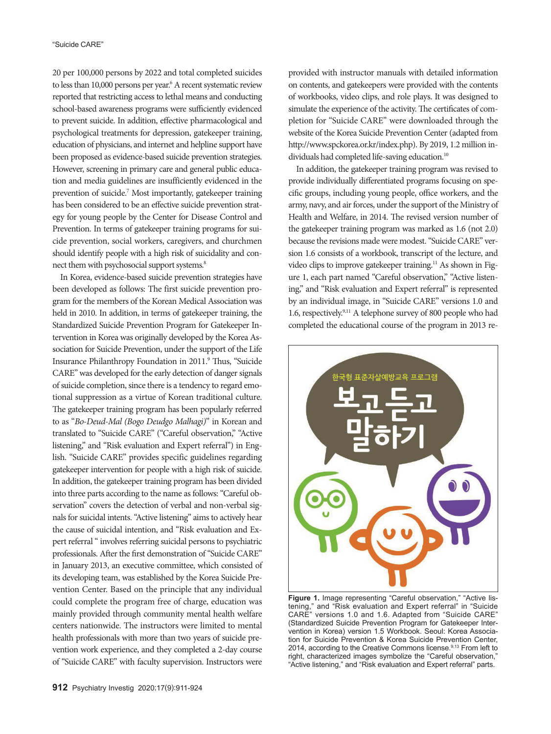20 per 100,000 persons by 2022 and total completed suicides to less than 10,000 persons per year.<sup>6</sup> A recent systematic review reported that restricting access to lethal means and conducting school-based awareness programs were sufficiently evidenced to prevent suicide. In addition, effective pharmacological and psychological treatments for depression, gatekeeper training, education of physicians, and internet and helpline support have been proposed as evidence-based suicide prevention strategies. However, screening in primary care and general public education and media guidelines are insufficiently evidenced in the prevention of suicide.<sup>7</sup> Most importantly, gatekeeper training has been considered to be an effective suicide prevention strategy for young people by the Center for Disease Control and Prevention. In terms of gatekeeper training programs for suicide prevention, social workers, caregivers, and churchmen should identify people with a high risk of suicidality and connect them with psychosocial support systems.<sup>8</sup>

In Korea, evidence-based suicide prevention strategies have been developed as follows: The first suicide prevention program for the members of the Korean Medical Association was held in 2010. In addition, in terms of gatekeeper training, the Standardized Suicide Prevention Program for Gatekeeper Intervention in Korea was originally developed by the Korea Association for Suicide Prevention, under the support of the Life Insurance Philanthropy Foundation in 2011.<sup>9</sup> Thus, "Suicide CARE" was developed for the early detection of danger signals of suicide completion, since there is a tendency to regard emotional suppression as a virtue of Korean traditional culture. The gatekeeper training program has been popularly referred to as "*Bo-Deud-Mal (Bogo Deudgo Malhagi)*" in Korean and translated to "Suicide CARE" ("Careful observation," "Active listening," and "Risk evaluation and Expert referral") in English. "Suicide CARE" provides specific guidelines regarding gatekeeper intervention for people with a high risk of suicide. In addition, the gatekeeper training program has been divided into three parts according to the name as follows: "Careful observation" covers the detection of verbal and non-verbal signals for suicidal intents. "Active listening" aims to actively hear the cause of suicidal intention, and "Risk evaluation and Expert referral " involves referring suicidal persons to psychiatric professionals. After the first demonstration of "Suicide CARE" in January 2013, an executive committee, which consisted of its developing team, was established by the Korea Suicide Prevention Center. Based on the principle that any individual could complete the program free of charge, education was mainly provided through community mental health welfare centers nationwide. The instructors were limited to mental health professionals with more than two years of suicide prevention work experience, and they completed a 2-day course of "Suicide CARE" with faculty supervision. Instructors were

provided with instructor manuals with detailed information on contents, and gatekeepers were provided with the contents of workbooks, video clips, and role plays. It was designed to simulate the experience of the activity. The certificates of completion for "Suicide CARE" were downloaded through the website of the Korea Suicide Prevention Center (adapted from http://www.spckorea.or.kr/index.php). By 2019, 1.2 million individuals had completed life-saving education.<sup>10</sup>

In addition, the gatekeeper training program was revised to provide individually differentiated programs focusing on specific groups, including young people, office workers, and the army, navy, and air forces, under the support of the Ministry of Health and Welfare, in 2014. The revised version number of the gatekeeper training program was marked as 1.6 (not 2.0) because the revisions made were modest. "Suicide CARE" version 1.6 consists of a workbook, transcript of the lecture, and video clips to improve gatekeeper training.<sup>11</sup> As shown in Figure 1, each part named "Careful observation," "Active listening," and "Risk evaluation and Expert referral" is represented by an individual image, in "Suicide CARE" versions 1.0 and 1.6, respectively.9,11 A telephone survey of 800 people who had completed the educational course of the program in 2013 re-



**Figure 1.** Image representing "Careful observation," "Active listening," and "Risk evaluation and Expert referral" in "Suicide CARE" versions 1.0 and 1.6. Adapted from "Suicide CARE" (Standardized Suicide Prevention Program for Gatekeeper Intervention in Korea) version 1.5 Workbook. Seoul: Korea Association for Suicide Prevention & Korea Suicide Prevention Center, 2014, according to the Creative Commons license.<sup>9,13</sup> From left to right, characterized images symbolize the "Careful observation," "Active listening," and "Risk evaluation and Expert referral" parts.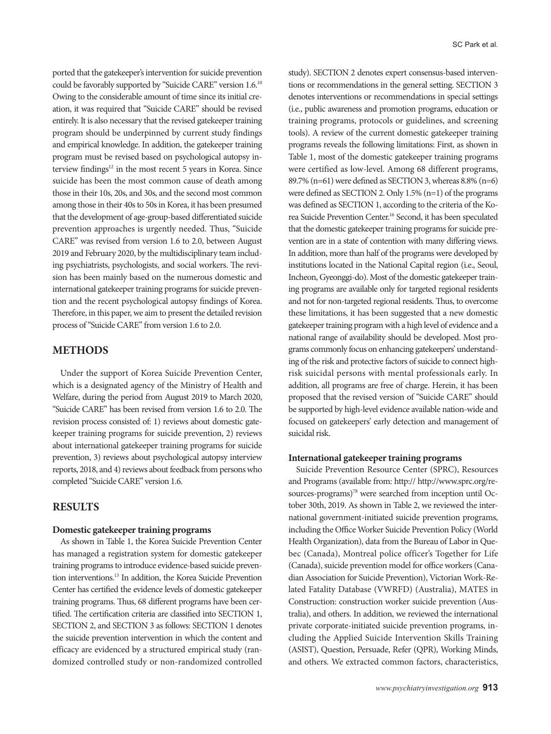ported that the gatekeeper's intervention for suicide prevention could be favorably supported by "Suicide CARE" version 1.6.10 Owing to the considerable amount of time since its initial creation, it was required that "Suicide CARE" should be revised entirely. It is also necessary that the revised gatekeeper training program should be underpinned by current study findings and empirical knowledge. In addition, the gatekeeper training program must be revised based on psychological autopsy interview findings<sup>12</sup> in the most recent 5 years in Korea. Since suicide has been the most common cause of death among those in their 10s, 20s, and 30s, and the second most common among those in their 40s to 50s in Korea, it has been presumed that the development of age-group-based differentiated suicide prevention approaches is urgently needed. Thus, "Suicide CARE" was revised from version 1.6 to 2.0, between August 2019 and February 2020, by the multidisciplinary team including psychiatrists, psychologists, and social workers. The revision has been mainly based on the numerous domestic and international gatekeeper training programs for suicide prevention and the recent psychological autopsy findings of Korea. Therefore, in this paper, we aim to present the detailed revision process of "Suicide CARE" from version 1.6 to 2.0.

# **METHODS**

Under the support of Korea Suicide Prevention Center, which is a designated agency of the Ministry of Health and Welfare, during the period from August 2019 to March 2020, "Suicide CARE" has been revised from version 1.6 to 2.0. The revision process consisted of: 1) reviews about domestic gatekeeper training programs for suicide prevention, 2) reviews about international gatekeeper training programs for suicide prevention, 3) reviews about psychological autopsy interview reports, 2018, and 4) reviews about feedback from persons who completed "Suicide CARE" version 1.6.

## **RESULTS**

#### **Domestic gatekeeper training programs**

As shown in Table 1, the Korea Suicide Prevention Center has managed a registration system for domestic gatekeeper training programs to introduce evidence-based suicide prevention interventions.13 In addition, the Korea Suicide Prevention Center has certified the evidence levels of domestic gatekeeper training programs. Thus, 68 different programs have been certified. The certification criteria are classified into SECTION 1, SECTION 2, and SECTION 3 as follows: SECTION 1 denotes the suicide prevention intervention in which the content and efficacy are evidenced by a structured empirical study (randomized controlled study or non-randomized controlled study). SECTION 2 denotes expert consensus-based interventions or recommendations in the general setting. SECTION 3 denotes interventions or recommendations in special settings (i.e., public awareness and promotion programs, education or training programs, protocols or guidelines, and screening tools). A review of the current domestic gatekeeper training programs reveals the following limitations: First, as shown in Table 1, most of the domestic gatekeeper training programs were certified as low-level. Among 68 different programs, 89.7% (n=61) were defined as SECTION 3, whereas  $8.8\%$  (n=6) were defined as SECTION 2. Only 1.5% (n=1) of the programs was defined as SECTION 1, according to the criteria of the Korea Suicide Prevention Center.16 Second, it has been speculated that the domestic gatekeeper training programs for suicide prevention are in a state of contention with many differing views. In addition, more than half of the programs were developed by institutions located in the National Capital region (i.e., Seoul, Incheon, Gyeonggi-do). Most of the domestic gatekeeper training programs are available only for targeted regional residents and not for non-targeted regional residents. Thus, to overcome these limitations, it has been suggested that a new domestic gatekeeper training program with a high level of evidence and a national range of availability should be developed. Most programs commonly focus on enhancing gatekeepers' understanding of the risk and protective factors of suicide to connect highrisk suicidal persons with mental professionals early. In addition, all programs are free of charge. Herein, it has been proposed that the revised version of "Suicide CARE" should be supported by high-level evidence available nation-wide and focused on gatekeepers' early detection and management of suicidal risk.

## **International gatekeeper training programs**

Suicide Prevention Resource Center (SPRC), Resources and Programs (available from: http:// http://www.sprc.org/resources-programs)<sup>78</sup> were searched from inception until October 30th, 2019. As shown in Table 2, we reviewed the international government-initiated suicide prevention programs, including the Office Worker Suicide Prevention Policy (World Health Organization), data from the Bureau of Labor in Quebec (Canada), Montreal police officer's Together for Life (Canada), suicide prevention model for office workers (Canadian Association for Suicide Prevention), Victorian Work-Related Fatality Database (VWRFD) (Australia), MATES in Construction: construction worker suicide prevention (Australia), and others. In addition, we reviewed the international private corporate-initiated suicide prevention programs, including the Applied Suicide Intervention Skills Training (ASIST), Question, Persuade, Refer (QPR), Working Minds, and others. We extracted common factors, characteristics,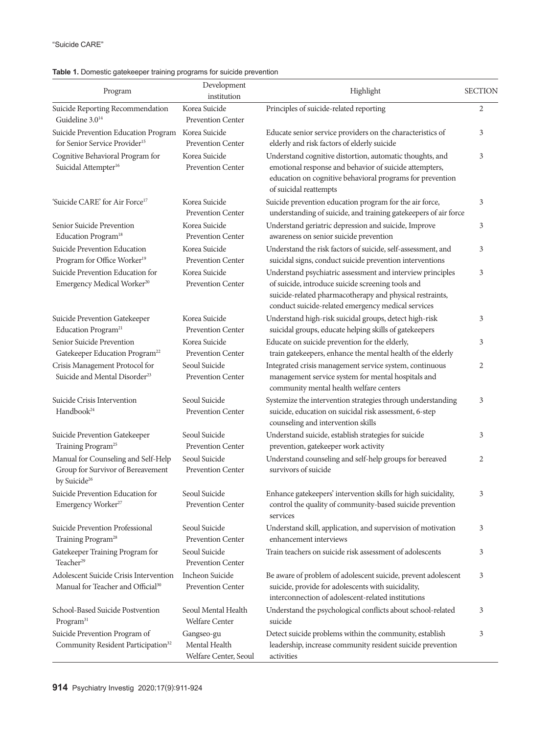| Program                                                                                                                 | Development<br>institution                           | Highlight                                                                                                                                                                                                                         | <b>SECTION</b> |
|-------------------------------------------------------------------------------------------------------------------------|------------------------------------------------------|-----------------------------------------------------------------------------------------------------------------------------------------------------------------------------------------------------------------------------------|----------------|
| Suicide Reporting Recommendation                                                                                        | Korea Suicide                                        | Principles of suicide-related reporting                                                                                                                                                                                           | 2              |
| Guideline $3.0^{14}$<br>Suicide Prevention Education Program Korea Suicide<br>for Senior Service Provider <sup>15</sup> | <b>Prevention Center</b><br><b>Prevention Center</b> | Educate senior service providers on the characteristics of<br>elderly and risk factors of elderly suicide                                                                                                                         | 3              |
| Cognitive Behavioral Program for<br>Suicidal Attempter <sup>16</sup>                                                    | Korea Suicide<br>Prevention Center                   | Understand cognitive distortion, automatic thoughts, and<br>emotional response and behavior of suicide attempters,<br>education on cognitive behavioral programs for prevention<br>of suicidal reattempts                         | 3              |
| 'Suicide CARE' for Air Force <sup>17</sup>                                                                              | Korea Suicide<br><b>Prevention Center</b>            | Suicide prevention education program for the air force,<br>understanding of suicide, and training gatekeepers of air force                                                                                                        | 3              |
| Senior Suicide Prevention<br>Education Program <sup>18</sup>                                                            | Korea Suicide<br><b>Prevention Center</b>            | Understand geriatric depression and suicide, Improve<br>awareness on senior suicide prevention                                                                                                                                    | 3              |
| Suicide Prevention Education<br>Program for Office Worker <sup>19</sup>                                                 | Korea Suicide<br><b>Prevention Center</b>            | Understand the risk factors of suicide, self-assessment, and<br>suicidal signs, conduct suicide prevention interventions                                                                                                          | 3              |
| Suicide Prevention Education for<br>Emergency Medical Worker <sup>20</sup>                                              | Korea Suicide<br><b>Prevention Center</b>            | Understand psychiatric assessment and interview principles<br>of suicide, introduce suicide screening tools and<br>suicide-related pharmacotherapy and physical restraints,<br>conduct suicide-related emergency medical services | 3              |
| Suicide Prevention Gatekeeper<br>Education Program <sup>21</sup>                                                        | Korea Suicide<br><b>Prevention Center</b>            | Understand high-risk suicidal groups, detect high-risk<br>suicidal groups, educate helping skills of gatekeepers                                                                                                                  | 3              |
| Senior Suicide Prevention<br>Gatekeeper Education Program <sup>22</sup>                                                 | Korea Suicide<br><b>Prevention Center</b>            | Educate on suicide prevention for the elderly,<br>train gatekeepers, enhance the mental health of the elderly                                                                                                                     | 3              |
| Crisis Management Protocol for<br>Suicide and Mental Disorder <sup>23</sup>                                             | Seoul Suicide<br>Prevention Center                   | Integrated crisis management service system, continuous<br>management service system for mental hospitals and<br>community mental health welfare centers                                                                          | $\overline{2}$ |
| Suicide Crisis Intervention<br>Handbook <sup>24</sup>                                                                   | Seoul Suicide<br>Prevention Center                   | Systemize the intervention strategies through understanding<br>suicide, education on suicidal risk assessment, 6-step<br>counseling and intervention skills                                                                       | 3              |
| Suicide Prevention Gatekeeper<br>Training Program <sup>25</sup>                                                         | Seoul Suicide<br><b>Prevention Center</b>            | Understand suicide, establish strategies for suicide<br>prevention, gatekeeper work activity                                                                                                                                      | 3              |
| Manual for Counseling and Self-Help<br>Group for Survivor of Bereavement<br>by Suicide <sup>26</sup>                    | Seoul Suicide<br>Prevention Center                   | Understand counseling and self-help groups for bereaved<br>survivors of suicide                                                                                                                                                   | 2              |
| Suicide Prevention Education for<br>Emergency Worker <sup>27</sup>                                                      | Seoul Suicide<br><b>Prevention Center</b>            | Enhance gatekeepers' intervention skills for high suicidality,<br>control the quality of community-based suicide prevention<br>services                                                                                           | 3              |
| Suicide Prevention Professional<br>Training Program <sup>28</sup>                                                       | Seoul Suicide<br><b>Prevention Center</b>            | Understand skill, application, and supervision of motivation<br>enhancement interviews                                                                                                                                            | 3              |
| Gatekeeper Training Program for<br>Teacher <sup>29</sup>                                                                | Seoul Suicide<br><b>Prevention Center</b>            | Train teachers on suicide risk assessment of adolescents                                                                                                                                                                          | 3              |
| Adolescent Suicide Crisis Intervention<br>Manual for Teacher and Official <sup>30</sup>                                 | Incheon Suicide<br><b>Prevention Center</b>          | Be aware of problem of adolescent suicide, prevent adolescent<br>suicide, provide for adolescents with suicidality,<br>interconnection of adolescent-related institutions                                                         | 3              |
| School-Based Suicide Postvention<br>Program <sup>31</sup>                                                               | Seoul Mental Health<br>Welfare Center                | Understand the psychological conflicts about school-related<br>suicide                                                                                                                                                            | 3              |
| Suicide Prevention Program of<br>Community Resident Participation <sup>32</sup>                                         | Gangseo-gu<br>Mental Health<br>Welfare Center, Seoul | Detect suicide problems within the community, establish<br>leadership, increase community resident suicide prevention<br>activities                                                                                               | 3              |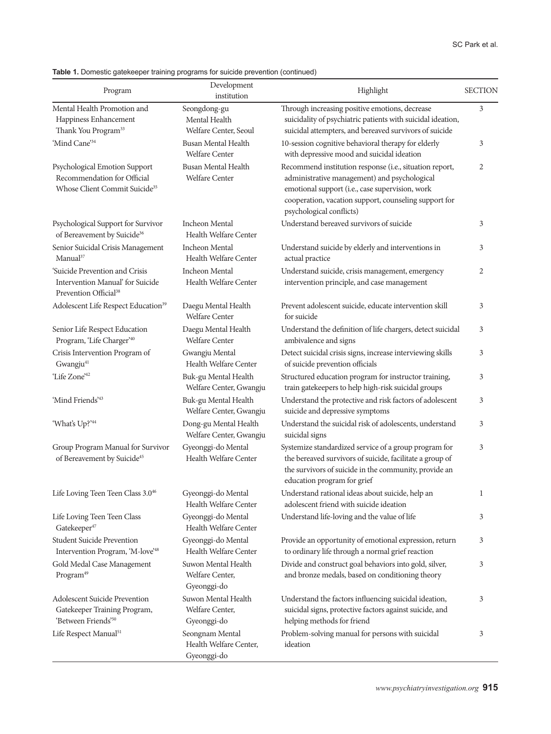# **Table 1.** Domestic gatekeeper training programs for suicide prevention (continued)

| Program                                                                                                   | Development<br>institution                               | Highlight                                                                                                                                                                                                                                       | <b>SECTION</b> |
|-----------------------------------------------------------------------------------------------------------|----------------------------------------------------------|-------------------------------------------------------------------------------------------------------------------------------------------------------------------------------------------------------------------------------------------------|----------------|
| Mental Health Promotion and<br>Happiness Enhancement<br>Thank You Program <sup>33</sup>                   | Seongdong-gu<br>Mental Health<br>Welfare Center, Seoul   | Through increasing positive emotions, decrease<br>suicidality of psychiatric patients with suicidal ideation,<br>suicidal attempters, and bereaved survivors of suicide                                                                         | 3              |
| 'Mind Cane'34                                                                                             | <b>Busan Mental Health</b><br><b>Welfare Center</b>      | 10-session cognitive behavioral therapy for elderly<br>with depressive mood and suicidal ideation                                                                                                                                               | 3              |
| Psychological Emotion Support<br>Recommendation for Official<br>Whose Client Commit Suicide <sup>35</sup> | <b>Busan Mental Health</b><br><b>Welfare Center</b>      | Recommend institution response (i.e., situation report,<br>administrative management) and psychological<br>emotional support (i.e., case supervision, work<br>cooperation, vacation support, counseling support for<br>psychological conflicts) | 2              |
| Psychological Support for Survivor<br>of Bereavement by Suicide <sup>36</sup>                             | <b>Incheon Mental</b><br>Health Welfare Center           | Understand bereaved survivors of suicide                                                                                                                                                                                                        | 3              |
| Senior Suicidal Crisis Management<br>Manual <sup>37</sup>                                                 | <b>Incheon Mental</b><br>Health Welfare Center           | Understand suicide by elderly and interventions in<br>actual practice                                                                                                                                                                           | 3              |
| 'Suicide Prevention and Crisis<br>Intervention Manual' for Suicide<br>Prevention Official <sup>38</sup>   | <b>Incheon Mental</b><br>Health Welfare Center           | Understand suicide, crisis management, emergency<br>intervention principle, and case management                                                                                                                                                 | 2              |
| Adolescent Life Respect Education <sup>39</sup>                                                           | Daegu Mental Health<br><b>Welfare Center</b>             | Prevent adolescent suicide, educate intervention skill<br>for suicide                                                                                                                                                                           | 3              |
| Senior Life Respect Education<br>Program, 'Life Charger' <sup>40</sup>                                    | Daegu Mental Health<br><b>Welfare Center</b>             | Understand the definition of life chargers, detect suicidal<br>ambivalence and signs                                                                                                                                                            | 3              |
| Crisis Intervention Program of<br>Gwangju <sup>41</sup>                                                   | Gwangju Mental<br>Health Welfare Center                  | Detect suicidal crisis signs, increase interviewing skills<br>of suicide prevention officials                                                                                                                                                   | 3              |
| 'Life Zone' <sup>42</sup>                                                                                 | Buk-gu Mental Health<br>Welfare Center, Gwangju          | Structured education program for instructor training,<br>train gatekeepers to help high-risk suicidal groups                                                                                                                                    | 3              |
| 'Mind Friends'43                                                                                          | Buk-gu Mental Health<br>Welfare Center, Gwangju          | Understand the protective and risk factors of adolescent<br>suicide and depressive symptoms                                                                                                                                                     | 3              |
| 'What's Up?'44                                                                                            | Dong-gu Mental Health<br>Welfare Center, Gwangju         | Understand the suicidal risk of adolescents, understand<br>suicidal signs                                                                                                                                                                       | 3              |
| Group Program Manual for Survivor<br>of Bereavement by Suicide <sup>45</sup>                              | Gyeonggi-do Mental<br>Health Welfare Center              | Systemize standardized service of a group program for<br>the bereaved survivors of suicide, facilitate a group of<br>the survivors of suicide in the community, provide an<br>education program for grief                                       | 3              |
| Life Loving Teen Teen Class 3.046                                                                         | Gyeonggi-do Mental<br>Health Welfare Center              | Understand rational ideas about suicide, help an<br>adolescent friend with suicide ideation                                                                                                                                                     | 1              |
| Life Loving Teen Teen Class<br>Gatekeeper <sup>47</sup>                                                   | Gyeonggi-do Mental<br>Health Welfare Center              | Understand life-loving and the value of life                                                                                                                                                                                                    | 3              |
| Student Suicide Prevention<br>Intervention Program, 'M-love' <sup>48</sup>                                | Gyeonggi-do Mental<br>Health Welfare Center              | Provide an opportunity of emotional expression, return<br>to ordinary life through a normal grief reaction                                                                                                                                      | 3              |
| Gold Medal Case Management<br>Program <sup>49</sup>                                                       | Suwon Mental Health<br>Welfare Center,<br>Gyeonggi-do    | Divide and construct goal behaviors into gold, silver,<br>and bronze medals, based on conditioning theory                                                                                                                                       | 3              |
| Adolescent Suicide Prevention<br>Gatekeeper Training Program,<br>'Between Friends'50                      | Suwon Mental Health<br>Welfare Center,<br>Gyeonggi-do    | Understand the factors influencing suicidal ideation,<br>suicidal signs, protective factors against suicide, and<br>helping methods for friend                                                                                                  | 3              |
| Life Respect Manual <sup>51</sup>                                                                         | Seongnam Mental<br>Health Welfare Center,<br>Gyeonggi-do | Problem-solving manual for persons with suicidal<br>ideation                                                                                                                                                                                    | 3              |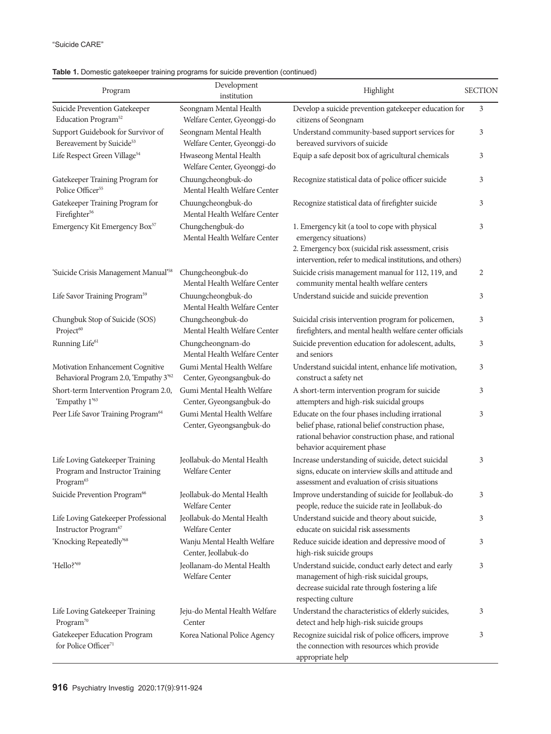| Program                                                                                     | Development<br>institution                             | Highlight                                                                                                                                                                                 | <b>SECTION</b> |
|---------------------------------------------------------------------------------------------|--------------------------------------------------------|-------------------------------------------------------------------------------------------------------------------------------------------------------------------------------------------|----------------|
| Suicide Prevention Gatekeeper<br>Education Program <sup>52</sup>                            | Seongnam Mental Health<br>Welfare Center, Gyeonggi-do  | Develop a suicide prevention gatekeeper education for<br>citizens of Seongnam                                                                                                             | 3              |
| Support Guidebook for Survivor of<br>Bereavement by Suicide <sup>53</sup>                   | Seongnam Mental Health<br>Welfare Center, Gyeonggi-do  | Understand community-based support services for<br>bereaved survivors of suicide                                                                                                          | 3              |
| Life Respect Green Village <sup>54</sup>                                                    | Hwaseong Mental Health<br>Welfare Center, Gyeonggi-do  | Equip a safe deposit box of agricultural chemicals                                                                                                                                        | 3              |
| Gatekeeper Training Program for<br>Police Officer <sup>55</sup>                             | Chuungcheongbuk-do<br>Mental Health Welfare Center     | Recognize statistical data of police officer suicide                                                                                                                                      | 3              |
| Gatekeeper Training Program for<br>$\rm{Firefigure^{56}}$                                   | Chuungcheongbuk-do<br>Mental Health Welfare Center     | Recognize statistical data of firefighter suicide                                                                                                                                         | 3              |
| Emergency Kit Emergency Box <sup>57</sup>                                                   | Chungchengbuk-do<br>Mental Health Welfare Center       | 1. Emergency kit (a tool to cope with physical<br>emergency situations)<br>2. Emergency box (suicidal risk assessment, crisis<br>intervention, refer to medical institutions, and others) | 3              |
| 'Suicide Crisis Management Manual' <sup>58</sup>                                            | Chungcheongbuk-do<br>Mental Health Welfare Center      | Suicide crisis management manual for 112, 119, and<br>community mental health welfare centers                                                                                             | 2              |
| Life Savor Training Program <sup>59</sup>                                                   | Chuungcheongbuk-do<br>Mental Health Welfare Center     | Understand suicide and suicide prevention                                                                                                                                                 | 3              |
| Chungbuk Stop of Suicide (SOS)<br>Project <sup>60</sup>                                     | Chungcheongbuk-do<br>Mental Health Welfare Center      | Suicidal crisis intervention program for policemen,<br>firefighters, and mental health welfare center officials                                                                           | 3              |
| Running Life <sup>61</sup>                                                                  | Chungcheongnam-do<br>Mental Health Welfare Center      | Suicide prevention education for adolescent, adults,<br>and seniors                                                                                                                       | 3              |
| Motivation Enhancement Cognitive<br>Behavioral Program 2.0, 'Empathy 3' <sup>62</sup>       | Gumi Mental Health Welfare<br>Center, Gyeongsangbuk-do | Understand suicidal intent, enhance life motivation,<br>construct a safety net                                                                                                            | 3              |
| Short-term Intervention Program 2.0,<br>'Empathy 1'63                                       | Gumi Mental Health Welfare<br>Center, Gyeongsangbuk-do | A short-term intervention program for suicide<br>attempters and high-risk suicidal groups                                                                                                 | 3              |
| Peer Life Savor Training Program <sup>64</sup>                                              | Gumi Mental Health Welfare<br>Center, Gyeongsangbuk-do | Educate on the four phases including irrational<br>belief phase, rational belief construction phase,<br>rational behavior construction phase, and rational<br>behavior acquirement phase  | 3              |
| Life Loving Gatekeeper Training<br>Program and Instructor Training<br>Program <sup>65</sup> | Jeollabuk-do Mental Health<br>Welfare Center           | Increase understanding of suicide, detect suicidal<br>signs, educate on interview skills and attitude and<br>assessment and evaluation of crisis situations                               | 3              |
| Suicide Prevention Program <sup>66</sup>                                                    | Jeollabuk-do Mental Health<br>Welfare Center           | Improve understanding of suicide for Jeollabuk-do<br>people, reduce the suicide rate in Jeollabuk-do                                                                                      | 3              |
| Life Loving Gatekeeper Professional<br>Instructor Program <sup>67</sup>                     | Jeollabuk-do Mental Health<br>Welfare Center           | Understand suicide and theory about suicide,<br>educate on suicidal risk assessments                                                                                                      | 3              |
| 'Knocking Repeatedly' <sup>68</sup>                                                         | Wanju Mental Health Welfare<br>Center, Jeollabuk-do    | Reduce suicide ideation and depressive mood of<br>high-risk suicide groups                                                                                                                | 3              |
| 'Hello?' <sup>69</sup>                                                                      | Jeollanam-do Mental Health<br>Welfare Center           | Understand suicide, conduct early detect and early<br>management of high-risk suicidal groups,<br>decrease suicidal rate through fostering a life<br>respecting culture                   | 3              |
| Life Loving Gatekeeper Training<br>Program <sup>70</sup>                                    | Jeju-do Mental Health Welfare<br>Center                | Understand the characteristics of elderly suicides,<br>detect and help high-risk suicide groups                                                                                           | 3              |
| Gatekeeper Education Program<br>for Police Officer <sup>71</sup>                            | Korea National Police Agency                           | Recognize suicidal risk of police officers, improve<br>the connection with resources which provide<br>appropriate help                                                                    | 3              |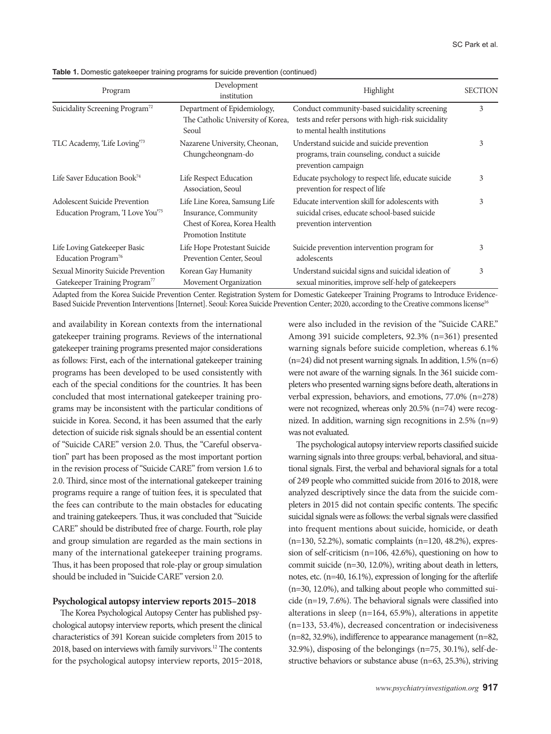|  |  | Table 1. Domestic gatekeeper training programs for suicide prevention (continued) |  |  |  |  |  |
|--|--|-----------------------------------------------------------------------------------|--|--|--|--|--|
|--|--|-----------------------------------------------------------------------------------|--|--|--|--|--|

| Program                                                                         | Development<br>institution                                                                                          | Highlight                                                                                                                            | <b>SECTION</b> |
|---------------------------------------------------------------------------------|---------------------------------------------------------------------------------------------------------------------|--------------------------------------------------------------------------------------------------------------------------------------|----------------|
| Suicidality Screening Program <sup>72</sup>                                     | Department of Epidemiology,<br>The Catholic University of Korea,<br>Seoul                                           | Conduct community-based suicidality screening<br>tests and refer persons with high-risk suicidality<br>to mental health institutions | 3              |
| TLC Academy, 'Life Loving'73                                                    | Nazarene University, Cheonan,<br>Chungcheongnam-do                                                                  | Understand suicide and suicide prevention<br>programs, train counseling, conduct a suicide<br>prevention campaign                    |                |
| Life Saver Education Book <sup>74</sup>                                         | Life Respect Education<br>Association, Seoul                                                                        | Educate psychology to respect life, educate suicide<br>prevention for respect of life                                                | 3              |
| <b>Adolescent Suicide Prevention</b><br>Education Program, 'I Love You'75       | Life Line Korea, Samsung Life<br>Insurance, Community<br>Chest of Korea, Korea Health<br><b>Promotion Institute</b> | Educate intervention skill for adolescents with<br>suicidal crises, educate school-based suicide<br>prevention intervention          | 3              |
| Life Loving Gatekeeper Basic<br>Education Program <sup>76</sup>                 | Life Hope Protestant Suicide<br>Prevention Center, Seoul                                                            | Suicide prevention intervention program for<br>adolescents                                                                           | 3              |
| Sexual Minority Suicide Prevention<br>Gatekeeper Training Program <sup>77</sup> | Korean Gay Humanity<br>Movement Organization                                                                        | Understand suicidal signs and suicidal ideation of<br>sexual minorities, improve self-help of gatekeepers                            | 3              |

Adapted from the Korea Suicide Prevention Center. Registration System for Domestic Gatekeeper Training Programs to Introduce Evidence-Based Suicide Prevention Interventions [Internet]. Seoul: Korea Suicide Prevention Center; 2020, according to the Creative commons license<sup>16</sup>

and availability in Korean contexts from the international gatekeeper training programs. Reviews of the international gatekeeper training programs presented major considerations as follows: First, each of the international gatekeeper training programs has been developed to be used consistently with each of the special conditions for the countries. It has been concluded that most international gatekeeper training programs may be inconsistent with the particular conditions of suicide in Korea. Second, it has been assumed that the early detection of suicide risk signals should be an essential content of "Suicide CARE" version 2.0. Thus, the "Careful observation" part has been proposed as the most important portion in the revision process of "Suicide CARE" from version 1.6 to 2.0. Third, since most of the international gatekeeper training programs require a range of tuition fees, it is speculated that the fees can contribute to the main obstacles for educating and training gatekeepers. Thus, it was concluded that "Suicide CARE" should be distributed free of charge. Fourth, role play and group simulation are regarded as the main sections in many of the international gatekeeper training programs. Thus, it has been proposed that role-play or group simulation should be included in "Suicide CARE" version 2.0.

#### **Psychological autopsy interview reports 2015–2018**

The Korea Psychological Autopsy Center has published psychological autopsy interview reports, which present the clinical characteristics of 391 Korean suicide completers from 2015 to 2018, based on interviews with family survivors.12 The contents for the psychological autopsy interview reports, 2015–2018, were also included in the revision of the "Suicide CARE." Among 391 suicide completers, 92.3% (n=361) presented warning signals before suicide completion, whereas 6.1% (n=24) did not present warning signals. In addition, 1.5% (n=6) were not aware of the warning signals. In the 361 suicide completers who presented warning signs before death, alterations in verbal expression, behaviors, and emotions, 77.0% (n=278) were not recognized, whereas only 20.5% (n=74) were recognized. In addition, warning sign recognitions in 2.5% (n=9) was not evaluated.

The psychological autopsy interview reports classified suicide warning signals into three groups: verbal, behavioral, and situational signals. First, the verbal and behavioral signals for a total of 249 people who committed suicide from 2016 to 2018, were analyzed descriptively since the data from the suicide completers in 2015 did not contain specific contents. The specific suicidal signals were as follows: the verbal signals were classified into frequent mentions about suicide, homicide, or death (n=130, 52.2%), somatic complaints (n=120, 48.2%), expression of self-criticism (n=106, 42.6%), questioning on how to commit suicide (n=30, 12.0%), writing about death in letters, notes, etc. (n=40, 16.1%), expression of longing for the afterlife (n=30, 12.0%), and talking about people who committed suicide (n=19, 7.6%). The behavioral signals were classified into alterations in sleep (n=164, 65.9%), alterations in appetite (n=133, 53.4%), decreased concentration or indecisiveness (n=82, 32.9%), indifference to appearance management (n=82, 32.9%), disposing of the belongings (n=75, 30.1%), self-destructive behaviors or substance abuse (n=63, 25.3%), striving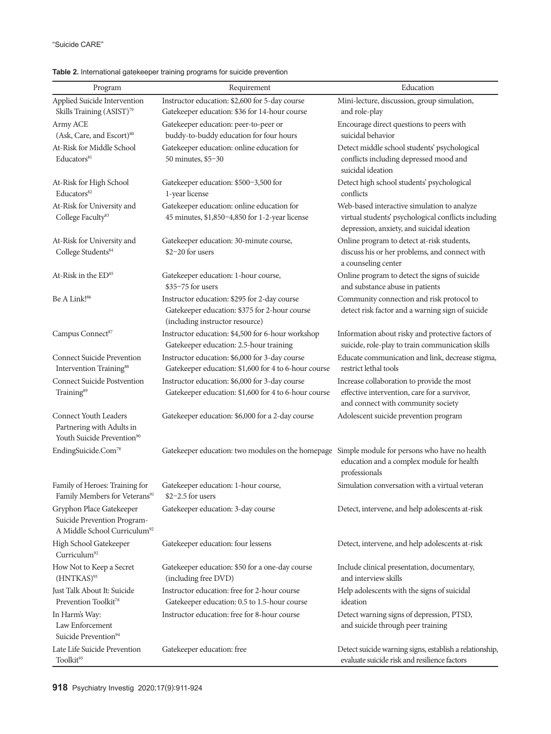| Program                                                                                             | Requirement                                                                                                                      | Education                                                                                                                                        |
|-----------------------------------------------------------------------------------------------------|----------------------------------------------------------------------------------------------------------------------------------|--------------------------------------------------------------------------------------------------------------------------------------------------|
| Applied Suicide Intervention                                                                        | Instructor education: \$2,600 for 5-day course                                                                                   | Mini-lecture, discussion, group simulation,                                                                                                      |
| Skills Training (ASIST) <sup>79</sup>                                                               | Gatekeeper education: \$36 for 14-hour course                                                                                    | and role-play                                                                                                                                    |
| Army ACE                                                                                            | Gatekeeper education: peer-to-peer or                                                                                            | Encourage direct questions to peers with                                                                                                         |
| (Ask, Care, and Escort) <sup>80</sup>                                                               | buddy-to-buddy education for four hours                                                                                          | suicidal behavior                                                                                                                                |
| At-Risk for Middle School<br>Educators <sup>81</sup>                                                | Gatekeeper education: online education for<br>50 minutes, \$5-30                                                                 | Detect middle school students' psychological<br>conflicts including depressed mood and<br>suicidal ideation                                      |
| At-Risk for High School<br>Educators <sup>82</sup>                                                  | Gatekeeper education: \$500-3,500 for<br>1-year license                                                                          | Detect high school students' psychological<br>conflicts                                                                                          |
| At-Risk for University and<br>College Faculty <sup>83</sup>                                         | Gatekeeper education: online education for<br>45 minutes, \$1,850-4,850 for 1-2-year license                                     | Web-based interactive simulation to analyze<br>virtual students' psychological conflicts including<br>depression, anxiety, and suicidal ideation |
| At-Risk for University and<br>College Students <sup>84</sup>                                        | Gatekeeper education: 30-minute course,<br>\$2-20 for users                                                                      | Online program to detect at-risk students,<br>discuss his or her problems, and connect with<br>a counseling center                               |
| At-Risk in the ED <sup>85</sup>                                                                     | Gatekeeper education: 1-hour course,<br>$$35-75$ for users                                                                       | Online program to detect the signs of suicide<br>and substance abuse in patients                                                                 |
| Be A Link! <sup>86</sup>                                                                            | Instructor education: \$295 for 2-day course<br>Gatekeeper education: \$375 for 2-hour course<br>(including instructor resource) | Community connection and risk protocol to<br>detect risk factor and a warning sign of suicide                                                    |
| Campus Connect <sup>87</sup>                                                                        | Instructor education: \$4,500 for 6-hour workshop<br>Gatekeeper education: 2.5-hour training                                     | Information about risky and protective factors of<br>suicide, role-play to train communication skills                                            |
| <b>Connect Suicide Prevention</b><br>Intervention Training <sup>88</sup>                            | Instructor education: \$6,000 for 3-day course<br>Gatekeeper education: \$1,600 for 4 to 6-hour course                           | Educate communication and link, decrease stigma,<br>restrict lethal tools                                                                        |
| <b>Connect Suicide Postvention</b><br>Training <sup>89</sup>                                        | Instructor education: \$6,000 for 3-day course<br>Gatekeeper education: \$1,600 for 4 to 6-hour course                           | Increase collaboration to provide the most<br>effective intervention, care for a survivor,<br>and connect with community society                 |
| Connect Youth Leaders<br>Partnering with Adults in<br>Youth Suicide Prevention <sup>90</sup>        | Gatekeeper education: \$6,000 for a 2-day course                                                                                 | Adolescent suicide prevention program                                                                                                            |
| EndingSuicide.Com <sup>78</sup>                                                                     | Gatekeeper education: two modules on the homepage                                                                                | Simple module for persons who have no health<br>education and a complex module for health<br>professionals                                       |
| Family of Heroes: Training for<br>Family Members for Veterans <sup>91</sup>                         | Gatekeeper education: 1-hour course,<br>$$2-2.5$ for users                                                                       | Simulation conversation with a virtual veteran                                                                                                   |
| Gryphon Place Gatekeeper<br>Suicide Prevention Program-<br>A Middle School Curriculum <sup>92</sup> | Gatekeeper education: 3-day course                                                                                               | Detect, intervene, and help adolescents at-risk                                                                                                  |
| High School Gatekeeper<br>Curriculum <sup>92</sup>                                                  | Gatekeeper education: four lessens                                                                                               | Detect, intervene, and help adolescents at-risk                                                                                                  |
| How Not to Keep a Secret<br>(HNTKAS) <sup>93</sup>                                                  | Gatekeeper education: \$50 for a one-day course<br>(including free DVD)                                                          | Include clinical presentation, documentary,<br>and interview skills                                                                              |
| Just Talk About It: Suicide<br>Prevention Toolkit <sup>78</sup>                                     | Instructor education: free for 2-hour course<br>Gatekeeper education: 0.5 to 1.5-hour course                                     | Help adolescents with the signs of suicidal<br>ideation                                                                                          |
| In Harm's Way:<br>Law Enforcement<br>Suicide Prevention <sup>94</sup>                               | Instructor education: free for 8-hour course                                                                                     | Detect warning signs of depression, PTSD,<br>and suicide through peer training                                                                   |
| Late Life Suicide Prevention<br>Toolkit <sup>95</sup>                                               | Gatekeeper education: free                                                                                                       | Detect suicide warning signs, establish a relationship,<br>evaluate suicide risk and resilience factors                                          |

# **Table 2.** International gatekeeper training programs for suicide prevention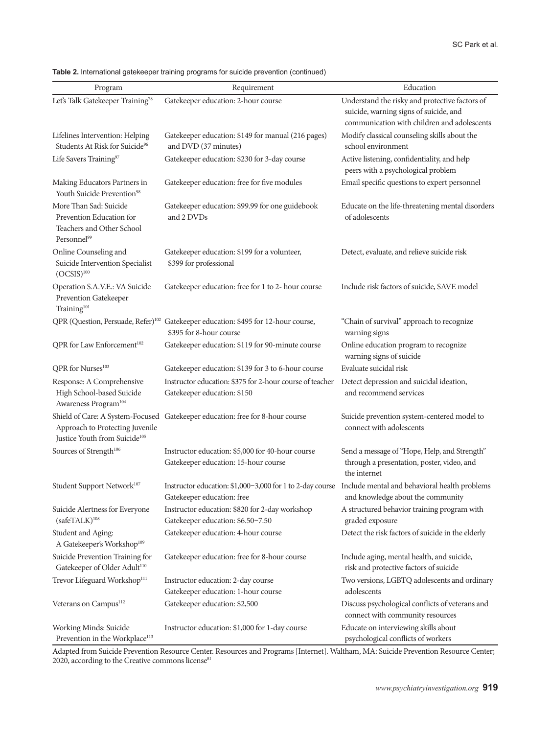|  |  |  | Table 2. International gatekeeper training programs for suicide prevention (continued) |  |
|--|--|--|----------------------------------------------------------------------------------------|--|
|--|--|--|----------------------------------------------------------------------------------------|--|

| Program                                                                                                          | Requirement                                                                                                                           | Education                                                                                                                               |
|------------------------------------------------------------------------------------------------------------------|---------------------------------------------------------------------------------------------------------------------------------------|-----------------------------------------------------------------------------------------------------------------------------------------|
| Let's Talk Gatekeeper Training <sup>78</sup>                                                                     | Gatekeeper education: 2-hour course                                                                                                   | Understand the risky and protective factors of<br>suicide, warning signs of suicide, and<br>communication with children and adolescents |
| Lifelines Intervention: Helping<br>Students At Risk for Suicide <sup>96</sup>                                    | Gatekeeper education: \$149 for manual (216 pages)<br>and DVD (37 minutes)                                                            | Modify classical counseling skills about the<br>school environment                                                                      |
| Life Savers Training <sup>97</sup>                                                                               | Gatekeeper education: \$230 for 3-day course                                                                                          | Active listening, confidentiality, and help<br>peers with a psychological problem                                                       |
| Making Educators Partners in<br>Youth Suicide Prevention <sup>98</sup>                                           | Gatekeeper education: free for five modules                                                                                           | Email specific questions to expert personnel                                                                                            |
| More Than Sad: Suicide<br>Prevention Education for<br>Teachers and Other School<br>Personnel <sup>99</sup>       | Gatekeeper education: \$99.99 for one guidebook<br>and 2 DVDs                                                                         | Educate on the life-threatening mental disorders<br>of adolescents                                                                      |
| Online Counseling and<br>Suicide Intervention Specialist<br>$(OCSIS)$ <sup>100</sup>                             | Gatekeeper education: \$199 for a volunteer,<br>\$399 for professional                                                                | Detect, evaluate, and relieve suicide risk                                                                                              |
| Operation S.A.V.E.: VA Suicide<br>Prevention Gatekeeper<br>Training <sup>101</sup>                               | Gatekeeper education: free for 1 to 2- hour course                                                                                    | Include risk factors of suicide, SAVE model                                                                                             |
|                                                                                                                  | QPR (Question, Persuade, Refer) <sup>102</sup> Gatekeeper education: \$495 for 12-hour course,<br>\$395 for 8-hour course             | "Chain of survival" approach to recognize<br>warning signs                                                                              |
| QPR for Law Enforcement <sup>102</sup>                                                                           | Gatekeeper education: \$119 for 90-minute course                                                                                      | Online education program to recognize<br>warning signs of suicide                                                                       |
| QPR for Nurses <sup>103</sup>                                                                                    | Gatekeeper education: \$139 for 3 to 6-hour course                                                                                    | Evaluate suicidal risk                                                                                                                  |
| Response: A Comprehensive<br>High School-based Suicide<br>Awareness Program <sup>104</sup>                       | Instructor education: \$375 for 2-hour course of teacher<br>Gatekeeper education: \$150                                               | Detect depression and suicidal ideation,<br>and recommend services                                                                      |
| Shield of Care: A System-Focused<br>Approach to Protecting Juvenile<br>Justice Youth from Suicide <sup>105</sup> | Gatekeeper education: free for 8-hour course                                                                                          | Suicide prevention system-centered model to<br>connect with adolescents                                                                 |
| Sources of Strength <sup>106</sup>                                                                               | Instructor education: \$5,000 for 40-hour course<br>Gatekeeper education: 15-hour course                                              | Send a message of "Hope, Help, and Strength"<br>through a presentation, poster, video, and<br>the internet                              |
| Student Support Network <sup>107</sup>                                                                           | Instructor education: \$1,000-3,000 for 1 to 2-day course Include mental and behavioral health problems<br>Gatekeeper education: free | and knowledge about the community                                                                                                       |
| Suicide Alertness for Everyone<br>(safeTALK) <sup>108</sup>                                                      | Instructor education: \$820 for 2-day workshop<br>Gatekeeper education: \$6.50-7.50                                                   | A structured behavior training program with<br>graded exposure                                                                          |
| Student and Aging:<br>A Gatekeeper's Workshop <sup>109</sup>                                                     | Gatekeeper education: 4-hour course                                                                                                   | Detect the risk factors of suicide in the elderly                                                                                       |
| Suicide Prevention Training for<br>Gatekeeper of Older Adult <sup>110</sup>                                      | Gatekeeper education: free for 8-hour course                                                                                          | Include aging, mental health, and suicide,<br>risk and protective factors of suicide                                                    |
| Trevor Lifeguard Workshop <sup>111</sup>                                                                         | Instructor education: 2-day course<br>Gatekeeper education: 1-hour course                                                             | Two versions, LGBTQ adolescents and ordinary<br>adolescents                                                                             |
| Veterans on Campus <sup>112</sup>                                                                                | Gatekeeper education: \$2,500                                                                                                         | Discuss psychological conflicts of veterans and<br>connect with community resources                                                     |
| Working Minds: Suicide<br>Prevention in the Workplace <sup>113</sup>                                             | Instructor education: \$1,000 for 1-day course                                                                                        | Educate on interviewing skills about<br>psychological conflicts of workers                                                              |

Adapted from Suicide Prevention Resource Center. Resources and Programs [Internet]. Waltham, MA: Suicide Prevention Resource Center; 2020, according to the Creative commons license<sup>81</sup>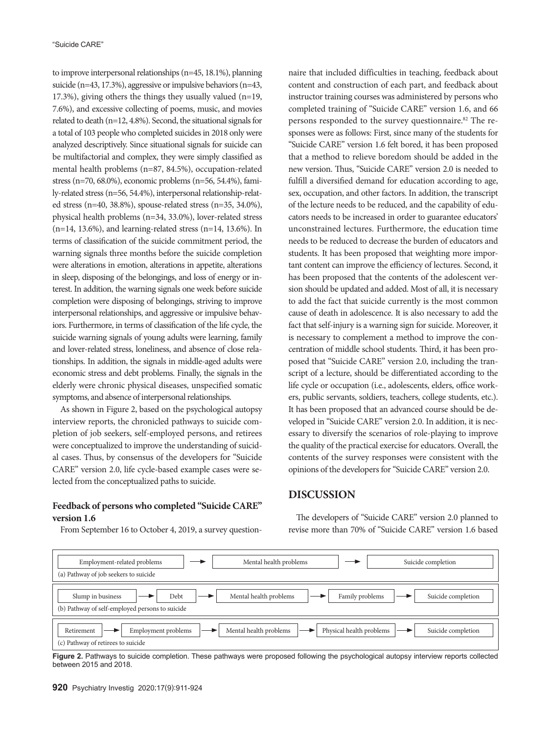to improve interpersonal relationships (n=45, 18.1%), planning suicide (n=43, 17.3%), aggressive or impulsive behaviors (n=43, 17.3%), giving others the things they usually valued (n=19, 7.6%), and excessive collecting of poems, music, and movies related to death (n=12, 4.8%). Second, the situational signals for a total of 103 people who completed suicides in 2018 only were analyzed descriptively. Since situational signals for suicide can be multifactorial and complex, they were simply classified as mental health problems (n=87, 84.5%), occupation-related stress (n=70, 68.0%), economic problems (n=56, 54.4%), family-related stress (n=56, 54.4%), interpersonal relationship-related stress (n=40, 38.8%), spouse-related stress (n=35, 34.0%), physical health problems (n=34, 33.0%), lover-related stress (n=14, 13.6%), and learning-related stress (n=14, 13.6%). In terms of classification of the suicide commitment period, the warning signals three months before the suicide completion were alterations in emotion, alterations in appetite, alterations in sleep, disposing of the belongings, and loss of energy or interest. In addition, the warning signals one week before suicide completion were disposing of belongings, striving to improve interpersonal relationships, and aggressive or impulsive behaviors. Furthermore, in terms of classification of the life cycle, the suicide warning signals of young adults were learning, family and lover-related stress, loneliness, and absence of close relationships. In addition, the signals in middle-aged adults were economic stress and debt problems. Finally, the signals in the elderly were chronic physical diseases, unspecified somatic symptoms, and absence of interpersonal relationships.

As shown in Figure 2, based on the psychological autopsy interview reports, the chronicled pathways to suicide completion of job seekers, self-employed persons, and retirees were conceptualized to improve the understanding of suicidal cases. Thus, by consensus of the developers for "Suicide CARE" version 2.0, life cycle-based example cases were selected from the conceptualized paths to suicide.

## **Feedback of persons who completed "Suicide CARE" version 1.6**

From September 16 to October 4, 2019, a survey question-

naire that included difficulties in teaching, feedback about content and construction of each part, and feedback about instructor training courses was administered by persons who completed training of "Suicide CARE" version 1.6, and 66 persons responded to the survey questionnaire.<sup>82</sup> The responses were as follows: First, since many of the students for "Suicide CARE" version 1.6 felt bored, it has been proposed that a method to relieve boredom should be added in the new version. Thus, "Suicide CARE" version 2.0 is needed to fulfill a diversified demand for education according to age, sex, occupation, and other factors. In addition, the transcript of the lecture needs to be reduced, and the capability of educators needs to be increased in order to guarantee educators' unconstrained lectures. Furthermore, the education time needs to be reduced to decrease the burden of educators and students. It has been proposed that weighting more important content can improve the efficiency of lectures. Second, it has been proposed that the contents of the adolescent version should be updated and added. Most of all, it is necessary to add the fact that suicide currently is the most common cause of death in adolescence. It is also necessary to add the fact that self-injury is a warning sign for suicide. Moreover, it is necessary to complement a method to improve the concentration of middle school students. Third, it has been proposed that "Suicide CARE" version 2.0, including the transcript of a lecture, should be differentiated according to the life cycle or occupation (i.e., adolescents, elders, office workers, public servants, soldiers, teachers, college students, etc.). It has been proposed that an advanced course should be developed in "Suicide CARE" version 2.0. In addition, it is necessary to diversify the scenarios of role-playing to improve the quality of the practical exercise for educators. Overall, the contents of the survey responses were consistent with the opinions of the developers for "Suicide CARE" version 2.0.

# **DISCUSSION**

The developers of "Suicide CARE" version 2.0 planned to revise more than 70% of "Suicide CARE" version 1.6 based



**Figure 2.** Pathways to suicide completion. These pathways were proposed following the psychological autopsy interview reports collected between 2015 and 2018.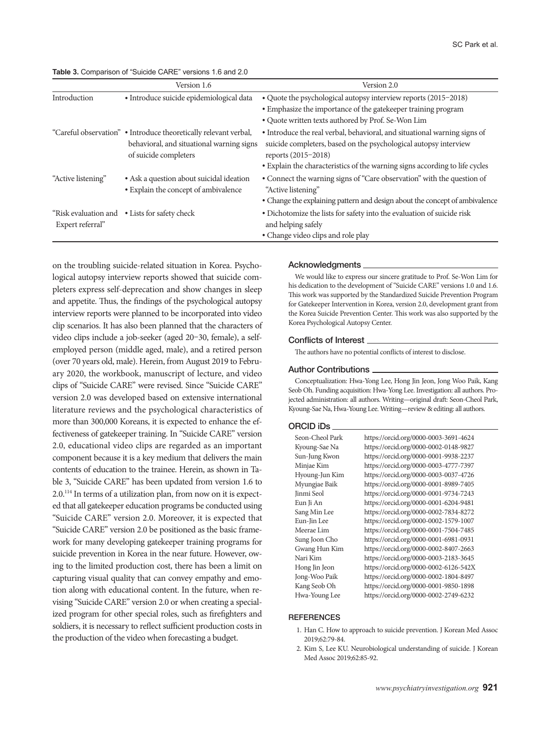### **Table 3.** Comparison of "Suicide CARE" versions 1.6 and 2.0

|                    | Version 1.6                                                                                                                            | Version 2.0                                                                                                                                                                                                                                         |
|--------------------|----------------------------------------------------------------------------------------------------------------------------------------|-----------------------------------------------------------------------------------------------------------------------------------------------------------------------------------------------------------------------------------------------------|
| Introduction       | • Introduce suicide epidemiological data                                                                                               | • Quote the psychological autopsy interview reports (2015-2018)<br>• Emphasize the importance of the gatekeeper training program<br>• Quote written texts authored by Prof. Se-Won Lim                                                              |
|                    | "Careful observation" • Introduce theoretically relevant verbal,<br>behavioral, and situational warning signs<br>of suicide completers | • Introduce the real verbal, behavioral, and situational warning signs of<br>suicide completers, based on the psychological autopsy interview<br>reports (2015-2018)<br>• Explain the characteristics of the warning signs according to life cycles |
| "Active listening" | • Ask a question about suicidal ideation<br>• Explain the concept of ambivalence                                                       | • Connect the warning signs of "Care observation" with the question of<br>"Active listening"<br>• Change the explaining pattern and design about the concept of ambivalence                                                                         |
| Expert referral"   | "Risk evaluation and • Lists for safety check                                                                                          | • Dichotomize the lists for safety into the evaluation of suicide risk<br>and helping safely<br>• Change video clips and role play                                                                                                                  |

on the troubling suicide-related situation in Korea. Psychological autopsy interview reports showed that suicide completers express self-deprecation and show changes in sleep and appetite. Thus, the findings of the psychological autopsy interview reports were planned to be incorporated into video clip scenarios. It has also been planned that the characters of video clips include a job-seeker (aged 20–30, female), a selfemployed person (middle aged, male), and a retired person (over 70 years old, male). Herein, from August 2019 to February 2020, the workbook, manuscript of lecture, and video clips of "Suicide CARE" were revised. Since "Suicide CARE" version 2.0 was developed based on extensive international literature reviews and the psychological characteristics of more than 300,000 Koreans, it is expected to enhance the effectiveness of gatekeeper training. In "Suicide CARE" version 2.0, educational video clips are regarded as an important component because it is a key medium that delivers the main contents of education to the trainee. Herein, as shown in Table 3, "Suicide CARE" has been updated from version 1.6 to 2.0.114 In terms of a utilization plan, from now on it is expected that all gatekeeper education programs be conducted using "Suicide CARE" version 2.0. Moreover, it is expected that "Suicide CARE" version 2.0 be positioned as the basic framework for many developing gatekeeper training programs for suicide prevention in Korea in the near future. However, owing to the limited production cost, there has been a limit on capturing visual quality that can convey empathy and emotion along with educational content. In the future, when revising "Suicide CARE" version 2.0 or when creating a specialized program for other special roles, such as firefighters and soldiers, it is necessary to reflect sufficient production costs in the production of the video when forecasting a budget.

## Acknowledgments

We would like to express our sincere gratitude to Prof. Se-Won Lim for his dedication to the development of "Suicide CARE" versions 1.0 and 1.6. This work was supported by the Standardized Suicide Prevention Program for Gatekeeper Intervention in Korea, version 2.0, development grant from the Korea Suicide Prevention Center. This work was also supported by the Korea Psychological Autopsy Center.

#### Conflicts of Interest

The authors have no potential conflicts of interest to disclose.

#### Author Contributions

Conceptualization: Hwa-Yong Lee, Hong Jin Jeon, Jong Woo Paik, Kang Seob Oh. Funding acquisition: Hwa-Yong Lee. Investigation: all authors. Projected administration: all authors. Writing—original draft: Seon-Cheol Park, Kyoung-Sae Na, Hwa-Young Lee. Writing—review & editing: all authors.

#### ORCID iDs

| Seon-Cheol Park   | https://orcid.org/0000-0003-3691-4624 |
|-------------------|---------------------------------------|
| Kyoung-Sae Na     | https://orcid.org/0000-0002-0148-9827 |
| Sun-Jung Kwon     | https://orcid.org/0000-0001-9938-2237 |
| Minjae Kim        | https://orcid.org/0000-0003-4777-7397 |
| Hyoung-Jun Kim    | https://orcid.org/0000-0003-0037-4726 |
| Myungjae Baik     | https://orcid.org/0000-0001-8989-7405 |
| <b>Jinmi</b> Seol | https://orcid.org/0000-0001-9734-7243 |
| Eun Ji An         | https://orcid.org/0000-0001-6204-9481 |
| Sang Min Lee      | https://orcid.org/0000-0002-7834-8272 |
| Eun-Jin Lee       | https://orcid.org/0000-0002-1579-1007 |
| Meerae Lim        | https://orcid.org/0000-0001-7504-7485 |
| Sung Joon Cho     | https://orcid.org/0000-0001-6981-0931 |
| Gwang Hun Kim     | https://orcid.org/0000-0002-8407-2663 |
| Nari Kim          | https://orcid.org/0000-0003-2183-3645 |
| Hong Jin Jeon     | https://orcid.org/0000-0002-6126-542X |
| Jong-Woo Paik     | https://orcid.org/0000-0002-1804-8497 |
| Kang Seob Oh      | https://orcid.org/0000-0001-9850-1898 |
| Hwa-Young Lee     | https://orcid.org/0000-0002-2749-6232 |
|                   |                                       |

#### **REFERENCES**

- 1. Han C. How to approach to suicide prevention. J Korean Med Assoc 2019;62:79-84.
- 2. Kim S, Lee KU. Neurobiological understanding of suicide. J Korean Med Assoc 2019;62:85-92.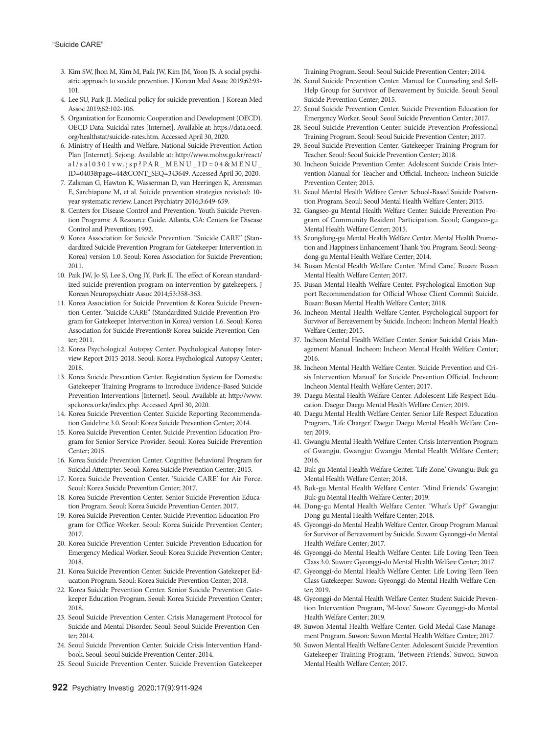- 3. Kim SW, Jhon M, Kim M, Paik JW, Kim JM, Yoon JS. A social psychiatric approach to suicide prevention. J Korean Med Assoc 2019;62:93- 101.
- 4. Lee SU, Park JI. Medical policy for suicide prevention. J Korean Med Assoc 2019;62:102-106.
- 5. Organization for Economic Cooperation and Development (OECD). OECD Data: Suicidal rates [Internet]. Available at: https://data.oecd. org/healthstat/suicide-rates.htm. Accessed April 30, 2020.
- 6. Ministry of Health and Welfare. National Suicide Prevention Action Plan [Internet]. Sejong. Available at: http://www.mohw.go.kr/react/ al/sal0301vw.jsp?PAR\_MENU\_ID=04&MENU\_ ID=0403&page=44&CONT\_SEQ=343649. Accessed April 30, 2020.
- 7. Zalsman G, Hawton K, Wasserman D, van Heeringen K, Arensman E, Sarchiapone M, et al. Suicide prevention strategies revisited: 10 year systematic review. Lancet Psychiatry 2016;3:649-659.
- 8. Centers for Disease Control and Prevention. Youth Suicide Prevention Programs: A Resource Guide. Atlanta, GA: Centers for Disease Control and Prevention; 1992.
- 9. Korea Association for Suicide Prevention. "Suicide CARE" (Standardized Suicide Prevention Program for Gatekeeper Intervention in Korea) version 1.0. Seoul: Korea Association for Suicide Prevention; 2011.
- 10. Paik JW, Jo SJ, Lee S, Ong JY, Park JI. The effect of Korean standardized suicide prevention program on intervention by gatekeepers. J Korean Neuropsychiatr Assoc 2014;53:358-363.
- 11. Korea Association for Suicide Prevention & Korea Suicide Prevention Center. "Suicide CARE" (Standardized Suicide Prevention Program for Gatekeeper Intervention in Korea) version 1.6. Seoul: Korea Association for Suicide Prevention& Korea Suicide Prevention Center; 2011.
- 12. Korea Psychological Autopsy Center. Psychological Autopsy Interview Report 2015-2018. Seoul: Korea Psychological Autopsy Center; 2018.
- 13. Korea Suicide Prevention Center. Registration System for Domestic Gatekeeper Training Programs to Introduce Evidence-Based Suicide Prevention Interventions [Internet]. Seoul. Available at: http://www. spckorea.or.kr/index.php. Accessed April 30, 2020.
- 14. Korea Suicide Prevention Center. Suicide Reporting Recommendation Guideline 3.0. Seoul: Korea Suicide Prevention Center; 2014.
- 15. Korea Suicide Prevention Center. Suicide Prevention Education Program for Senior Service Provider. Seoul: Korea Suicide Prevention Center; 2015.
- 16. Korea Suicide Prevention Center. Cognitive Behavioral Program for Suicidal Attempter. Seoul: Korea Suicide Prevention Center; 2015.
- 17. Korea Suicide Prevention Center. 'Suicide CARE' for Air Force. Seoul: Korea Suicide Prevention Center; 2017.
- 18. Korea Suicide Prevention Center. Senior Suicide Prevention Education Program. Seoul: Korea Suicide Prevention Center; 2017.
- 19. Korea Suicide Prevention Center. Suicide Prevention Education Program for Office Worker. Seoul: Korea Suicide Prevention Center; 2017.
- 20. Korea Suicide Prevention Center. Suicide Prevention Education for Emergency Medical Worker. Seoul: Korea Suicide Prevention Center; 2018.
- 21. Korea Suicide Prevention Center. Suicide Prevention Gatekeeper Education Program. Seoul: Korea Suicide Prevention Center; 2018.
- 22. Korea Suicide Prevention Center. Senior Suicide Prevention Gatekeeper Education Program. Seoul: Korea Suicide Prevention Center; 2018.
- 23. Seoul Suicide Prevention Center. Crisis Management Protocol for Suicide and Mental Disorder. Seoul: Seoul Suicide Prevention Center; 2014.
- 24. Seoul Suicide Prevention Center. Suicide Crisis Intervention Handbook. Seoul: Seoul Suicide Prevention Center; 2014.
- 25. Seoul Suicide Prevention Center. Suicide Prevention Gatekeeper

Training Program. Seoul: Seoul Suicide Prevention Center; 2014.

- 26. Seoul Suicide Prevention Center. Manual for Counseling and Self-Help Group for Survivor of Bereavement by Suicide. Seoul: Seoul Suicide Prevention Center; 2015.
- 27. Seoul Suicide Prevention Center. Suicide Prevention Education for Emergency Worker. Seoul: Seoul Suicide Prevention Center; 2017.
- 28. Seoul Suicide Prevention Center. Suicide Prevention Professional Training Program. Seoul: Seoul Suicide Prevention Center; 2017.
- 29. Seoul Suicide Prevention Center. Gatekeeper Training Program for Teacher. Seoul: Seoul Suicide Prevention Center; 2018.
- 30. Incheon Suicide Prevention Center. Adolescent Suicide Crisis Intervention Manual for Teacher and Official. Incheon: Incheon Suicide Prevention Center; 2015.
- 31. Seoul Mental Health Welfare Center. School-Based Suicide Postvention Program. Seoul: Seoul Mental Health Welfare Center; 2015.
- 32. Gangseo-gu Mental Health Welfare Center. Suicide Prevention Program of Community Resident Participation. Seoul; Gangseo-gu Mental Health Welfare Center; 2015.
- 33. Seongdong-gu Mental Health Welfare Center. Mental Health Promotion and Happiness Enhancement Thank You Program. Seoul: Seongdong-gu Mental Health Welfare Center; 2014.
- 34. Busan Mental Health Welfare Center. 'Mind Cane.' Busan: Busan Mental Health Welfare Center; 2017.
- 35. Busan Mental Health Welfare Center. Psychological Emotion Support Recommendation for Official Whose Client Commit Suicide. Busan: Busan Mental Health Welfare Center; 2018.
- 36. Incheon Mental Health Welfare Center. Psychological Support for Survivor of Bereavement by Suicide. Incheon: Incheon Mental Health Welfare Center; 2015.
- 37. Incheon Mental Health Welfare Center. Senior Suicidal Crisis Management Manual. Incheon: Incheon Mental Health Welfare Center; 2016.
- 38. Incheon Mental Health Welfare Center. 'Suicide Prevention and Crisis Intervention Manual' for Suicide Prevention Official. Incheon: Incheon Mental Health Welfare Center; 2017.
- 39. Daegu Mental Health Welfare Center. Adolescent Life Respect Education. Daegu: Daegu Mental Health Welfare Center; 2019.
- 40. Daegu Mental Health Welfare Center. Senior Life Respect Education Program, 'Life Charger.' Daegu: Daegu Mental Health Welfare Center; 2019.
- 41. Gwangju Mental Health Welfare Center. Crisis Intervention Program of Gwangju. Gwangju: Gwangju Mental Health Welfare Center; 2016.
- 42. Buk-gu Mental Health Welfare Center. 'Life Zone.' Gwangju: Buk-gu Mental Health Welfare Center; 2018.
- 43. Buk-gu Mental Health Welfare Center. 'Mind Friends.' Gwangju: Buk-gu Mental Health Welfare Center; 2019.
- 44. Dong-gu Mental Health Welfare Center. 'What's Up?' Gwangju: Dong-gu Mental Health Welfare Center; 2018.
- 45. Gyeonggi-do Mental Health Welfare Center. Group Program Manual for Survivor of Bereavement by Suicide. Suwon: Gyeonggi-do Mental Health Welfare Center; 2017.
- 46. Gyeonggi-do Mental Health Welfare Center. Life Loving Teen Teen Class 3.0. Suwon: Gyeonggi-do Mental Health Welfare Center; 2017.
- 47. Gyeonggi-do Mental Health Welfare Center. Life Loving Teen Teen Class Gatekeeper. Suwon: Gyeonggi-do Mental Health Welfare Center; 2019.
- 48. Gyeonggi-do Mental Health Welfare Center. Student Suicide Prevention Intervention Program, 'M-love.' Suwon: Gyeonggi-do Mental Health Welfare Center; 2019.
- 49. Suwon Mental Health Welfare Center. Gold Medal Case Management Program. Suwon: Suwon Mental Health Welfare Center; 2017.
- 50. Suwon Mental Health Welfare Center. Adolescent Suicide Prevention Gatekeeper Training Program, 'Between Friends.' Suwon: Suwon Mental Health Welfare Center; 2017.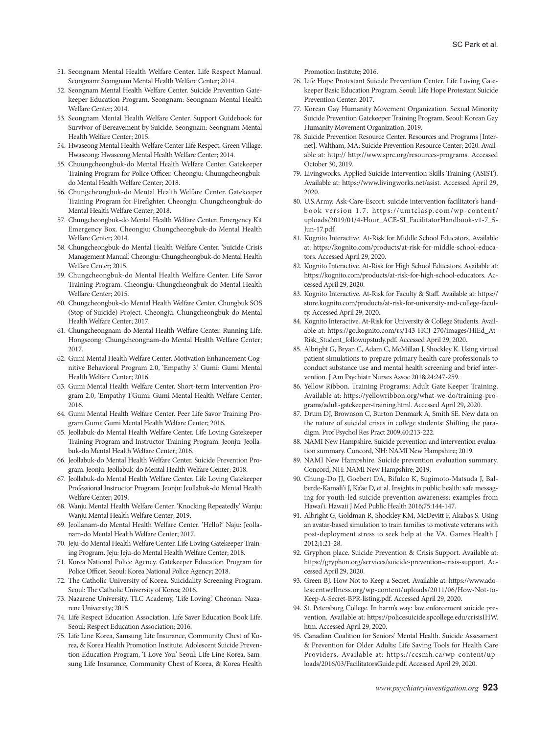- 51. Seongnam Mental Health Welfare Center. Life Respect Manual. Seongnam: Seongnam Mental Health Welfare Center; 2014.
- 52. Seongnam Mental Health Welfare Center. Suicide Prevention Gatekeeper Education Program. Seongnam: Seongnam Mental Health Welfare Center; 2014.
- 53. Seongnam Mental Health Welfare Center. Support Guidebook for Survivor of Bereavement by Suicide. Seongnam: Seongnam Mental Health Welfare Center; 2015.
- 54. Hwaseong Mental Health Welfare Center Life Respect. Green Village. Hwaseong: Hwaseong Mental Health Welfare Center; 2014.
- 55. Chuungcheongbuk-do Mental Health Welfare Center. Gatekeeper Training Program for Police Officer. Cheongju: Chuungcheongbukdo Mental Health Welfare Center; 2018.
- 56. Chungcheongbuk-do Mental Health Welfare Center. Gatekeeper Training Program for Firefighter. Cheongju: Chungcheongbuk-do Mental Health Welfare Center; 2018.
- 57. Chungcheongbuk-do Mental Health Welfare Center. Emergency Kit Emergency Box. Cheongju: Chungcheongbuk-do Mental Health Welfare Center; 2014.
- 58. Chungcheongbuk-do Mental Health Welfare Center. 'Suicide Crisis Management Manual.' Cheongju: Chungcheongbuk-do Mental Health Welfare Center; 2015.
- 59. Chungcheongbuk-do Mental Health Welfare Center. Life Savor Training Program. Cheongju: Chungcheongbuk-do Mental Health Welfare Center; 2015.
- 60. Chungcheongbuk-do Mental Health Welfare Center. Chungbuk SOS (Stop of Suicide) Project. Cheongju: Chungcheongbuk-do Mental Health Welfare Center; 2017.
- 61. Chungcheongnam-do Mental Health Welfare Center. Running Life. Hongseong: Chungcheongnam-do Mental Health Welfare Center; 2017.
- 62. Gumi Mental Health Welfare Center. Motivation Enhancement Cognitive Behavioral Program 2.0, 'Empathy 3.' Gumi: Gumi Mental Health Welfare Center; 2016.
- 63. Gumi Mental Health Welfare Center. Short-term Intervention Program 2.0, 'Empathy 1'Gumi: Gumi Mental Health Welfare Center; 2016.
- 64. Gumi Mental Health Welfare Center. Peer Life Savor Training Program Gumi: Gumi Mental Health Welfare Center; 2016.
- 65. Jeollabuk-do Mental Health Welfare Center. Life Loving Gatekeeper Training Program and Instructor Training Program. Jeonju: Jeollabuk-do Mental Health Welfare Center; 2016.
- 66. Jeollabuk-do Mental Health Welfare Center. Suicide Prevention Program. Jeonju: Jeollabuk-do Mental Health Welfare Center; 2018.
- 67. Jeollabuk-do Mental Health Welfare Center. Life Loving Gatekeeper Professional Instructor Program. Jeonju: Jeollabuk-do Mental Health Welfare Center; 2019.
- 68. Wanju Mental Health Welfare Center. 'Knocking Repeatedly.' Wanju: Wanju Mental Health Welfare Center; 2019.
- 69. Jeollanam-do Mental Health Welfare Center. 'Hello?' Naju: Jeollanam-do Mental Health Welfare Center; 2017.
- 70. Jeju-do Mental Health Welfare Center. Life Loving Gatekeeper Training Program. Jeju: Jeju-do Mental Health Welfare Center; 2018.
- 71. Korea National Police Agency. Gatekeeper Education Program for Police Officer. Seoul: Korea National Police Agency; 2018.
- 72. The Catholic University of Korea. Suicidality Screening Program. Seoul: The Catholic University of Korea; 2016.
- 73. Nazarene University. TLC Academy, 'Life Loving.' Cheonan: Nazarene University; 2015.
- 74. Life Respect Education Association. Life Saver Education Book Life. Seoul: Respect Education Association; 2016.
- 75. Life Line Korea, Samsung Life Insurance, Community Chest of Korea, & Korea Health Promotion Institute. Adolescent Suicide Prevention Education Program, 'I Love You.' Seoul: Life Line Korea, Samsung Life Insurance, Community Chest of Korea, & Korea Health

Promotion Institute; 2016.

- 76. Life Hope Protestant Suicide Prevention Center. Life Loving Gatekeeper Basic Education Program. Seoul: Life Hope Protestant Suicide Prevention Center: 2017.
- 77. Korean Gay Humanity Movement Organization. Sexual Minority Suicide Prevention Gatekeeper Training Program. Seoul: Korean Gay Humanity Movement Organization; 2019.
- 78. Suicide Prevention Resource Center. Resources and Programs [Internet]. Waltham, MA: Suicide Prevention Resource Center; 2020. Available at: http:// http://www.sprc.org/resources-programs. Accessed October 30, 2019.
- 79. Livingworks. Applied Suicide Intervention Skills Training (ASIST). Available at: https://www.livingworks.net/asist. Accessed April 29, 2020.
- 80. U.S.Army. Ask-Care-Escort: suicide intervention facilitator's handbook version 1.7. https://umtclasp.com/wp-content/ uploads/2019/01/4-Hour\_ACE-SI\_FacilitatorHandbook-v1-7\_5- Jun-17.pdf.
- 81. Kognito Interactive. At-Risk for Middle School Educators. Available at: https://kognito.com/products/at-risk-for-middle-school-educators. Accessed April 29, 2020.
- 82. Kognito Interactive. At-Risk for High School Educators. Available at: https://kognito.com/products/at-risk-for-high-school-educators. Accessed April 29, 2020.
- 83. Kognito Interactive. At-Risk for Faculty & Staff. Available at: https:// store.kognito.com/products/at-risk-for-university-and-college-faculty. Accessed April 29, 2020.
- 84. Kognito Interactive. At-Risk for University & College Students. Available at: https://go.kognito.com/rs/143-HCJ-270/images/HiEd\_At-Risk\_Student\_followupstudy.pdf. Accessed April 29, 2020.
- 85. Albright G, Bryan C, Adam C, McMillan J, Shockley K. Using virtual patient simulations to prepare primary health care professionals to conduct substance use and mental health screening and brief intervention. J Am Psychiatr Nurses Assoc 2018;24:247-259.
- 86. Yellow Ribbon. Training Programs: Adult Gate Keeper Training. Available at: https://yellowribbon.org/what-we-do/training-programs/adult-gatekeeper-training.html. Accessed April 29, 2020.
- 87. Drum DJ, Brownson C, Burton Denmark A, Smith SE. New data on the nature of suicidal crises in college students: Shifting the paradigm. Prof Psychol Res Pract 2009;40:213-222.
- 88. NAMI New Hampshire. Suicide prevention and intervention evaluation summary. Concord, NH: NAMI New Hampshire; 2019.
- 89. NAMI New Hampshire. Suicide prevention evaluation summary. Concord, NH: NAMI New Hampshire; 2019.
- 90. Chung-Do JJ, Goebert DA, Bifulco K, Sugimoto-Matsuda J, Balberde-Kamali'i J, Ka'ae D, et al. Insights in public health: safe messaging for youth-led suicide prevention awareness: examples from Hawai'i. Hawaii J Med Public Health 2016;75:144-147.
- 91. Albright G, Goldman R, Shockley KM, McDevitt F, Akabas S. Using an avatar-based simulation to train families to motivate veterans with post-deployment stress to seek help at the VA. Games Health J 2012;1:21-28.
- 92. Gryphon place. Suicide Prevention & Crisis Support. Available at: https://gryphon.org/services/suicide-prevention-crisis-support. Accessed April 29, 2020.
- 93. Green BJ. How Not to Keep a Secret. Available at: https://www.adolescentwellness.org/wp-content/uploads/2011/06/How-Not-to-Keep-A-Secret-BPR-listing.pdf. Accessed April 29, 2020.
- 94. St. Petersburg College. In harm's way: law enforcement suicide prevention. Available at: https://policesuicide.spcollege.edu/crisisIHW. htm. Accessed April 29, 2020.
- 95. Canadian Coalition for Seniors' Mental Health. Suicide Assessment & Prevention for Older Adults: Life Saving Tools for Health Care Providers. Available at: https://ccsmh.ca/wp-content/uploads/2016/03/FacilitatorsGuide.pdf. Accessed April 29, 2020.